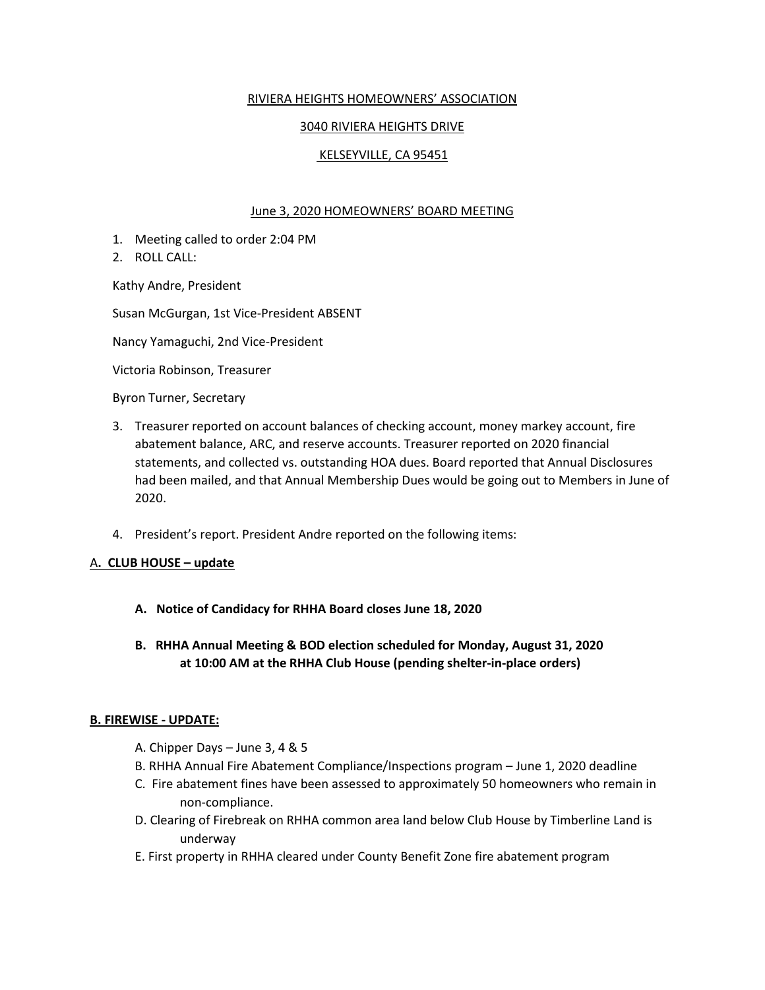## RIVIERA HEIGHTS HOMEOWNERS' ASSOCIATION

# 3040 RIVIERA HEIGHTS DRIVE

## KELSEYVILLE, CA 95451

#### June 3, 2020 HOMEOWNERS' BOARD MEETING

- 1. Meeting called to order 2:04 PM
- 2. ROLL CALL:

Kathy Andre, President

Susan McGurgan, 1st Vice-President ABSENT

Nancy Yamaguchi, 2nd Vice-President

Victoria Robinson, Treasurer

Byron Turner, Secretary

- 3. Treasurer reported on account balances of checking account, money markey account, fire abatement balance, ARC, and reserve accounts. Treasurer reported on 2020 financial statements, and collected vs. outstanding HOA dues. Board reported that Annual Disclosures had been mailed, and that Annual Membership Dues would be going out to Members in June of 2020.
- 4. President's report. President Andre reported on the following items:

#### A**. CLUB HOUSE – update**

- **A. Notice of Candidacy for RHHA Board closes June 18, 2020**
- **B. RHHA Annual Meeting & BOD election scheduled for Monday, August 31, 2020 at 10:00 AM at the RHHA Club House (pending shelter-in-place orders)**

#### **B. FIREWISE - UPDATE:**

- A. Chipper Days June 3, 4 & 5
- B. RHHA Annual Fire Abatement Compliance/Inspections program June 1, 2020 deadline
- C. Fire abatement fines have been assessed to approximately 50 homeowners who remain in non-compliance.
- D. Clearing of Firebreak on RHHA common area land below Club House by Timberline Land is underway
- E. First property in RHHA cleared under County Benefit Zone fire abatement program